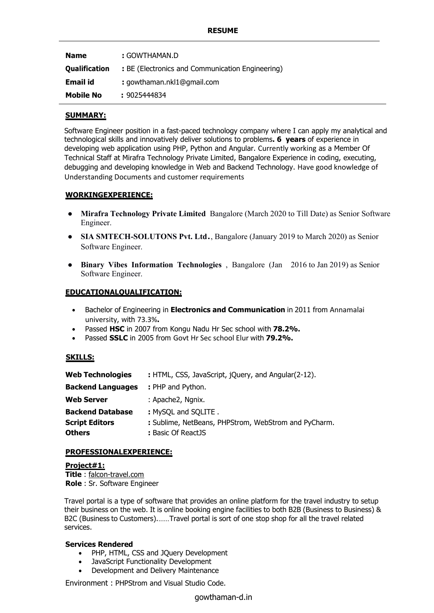| <b>Name</b>          | : GOWTHAMAN.D                                    |
|----------------------|--------------------------------------------------|
| <b>Qualification</b> | : BE (Electronics and Communication Engineering) |
| Email id             | : gowthaman.nkl1@gmail.com                       |
| <b>Mobile No</b>     | : 9025444834                                     |

## **SUMMARY:**

Software Engineer position in a fast-paced technology company where I can apply my analytical and technological skills and innovatively deliver solutions to problems**. 6 years** of experience in developing web application using PHP, Python and Angular. Currently working as a Member Of Technical Staff at Mirafra Technology Private Limited, Bangalore Experience in coding, executing, debugging and developing knowledge in Web and Backend Technology. Have good knowledge of Understanding Documents and customer requirements

## **WORKINGEXPERIENCE:**

- **Mirafra Technology Private Limited** Bangalore (March 2020 to Till Date) as Senior Software Engineer.
- **SIA SMTECH-SOLUTONS Pvt. Ltd**., Bangalore (January <sup>2019</sup> to March 2020) as Senior Software Engineer.
- **Binary Vibes Information Technologies** , Bangalore (Jan 2016 to Jan 2019) as Senior Software Engineer.

# **EDUCATIONALQUALIFICATION:**

- Bachelor of Engineering in **Electronics and Communication** in 2011 from Annamalai university, with 73.3%**.**
- Passed **HSC** in 2007 from Kongu Nadu Hr Sec school with **78.2%.**
- Passed **SSLC** in 2005 from Govt Hr Sec school Elur with **79.2%.**

## **SKILLS:**

| : HTML, CSS, JavaScript, jQuery, and Angular(2-12).  |
|------------------------------------------------------|
| : PHP and Python.                                    |
| : Apache2, Ngnix.                                    |
| : MySQL and SQLITE.                                  |
| : Sublime, NetBeans, PHPStrom, WebStrom and PyCharm. |
| : Basic Of ReactJS                                   |
|                                                      |

## **PROFESSIONALEXPERIENCE:**

## **Project#1:**

**Title** : [falcon-travel.com](https://falcon-travel.com/) **Role** : Sr. Software Engineer

Travel portal is a type of software that provides an online platform for the travel industry to setup their business on the web. It is online booking engine facilities to both B2B (Business to Business) & B2C (Business to Customers).......Travel portal is sort of one stop shop for all the travel related services.

## **Services Rendered**

- PHP, HTML, CSS and JQuery Development
- JavaScript Functionality Development
- Development and Delivery Maintenance

Environment : PHPStrom and Visual Studio Code.